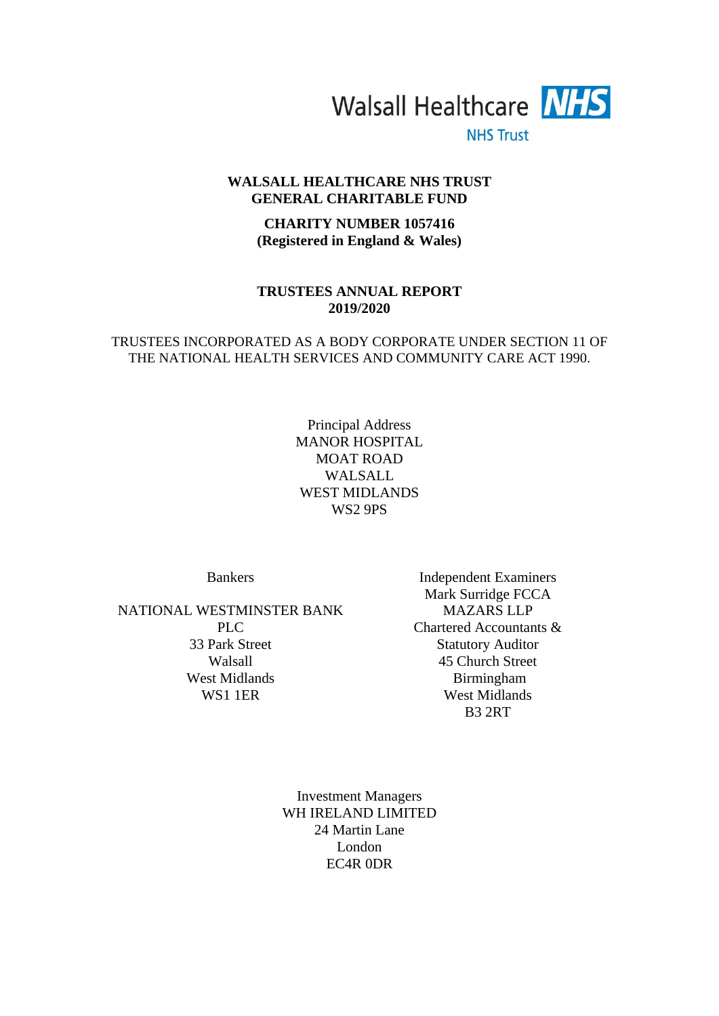

**NHS Trust** 

# **WALSALL HEALTHCARE NHS TRUST GENERAL CHARITABLE FUND**

# **CHARITY NUMBER 1057416 (Registered in England & Wales)**

## **TRUSTEES ANNUAL REPORT 2019/2020**

# TRUSTEES INCORPORATED AS A BODY CORPORATE UNDER SECTION 11 OF THE NATIONAL HEALTH SERVICES AND COMMUNITY CARE ACT 1990.

Principal Address MANOR HOSPITAL MOAT ROAD WALSALL WEST MIDLANDS WS2 9PS

NATIONAL WESTMINSTER BANK PLC. 33 Park Street Walsall West Midlands WS1 1ER

Bankers Independent Examiners Mark Surridge FCCA MAZARS LLP Chartered Accountants & Statutory Auditor 45 Church Street Birmingham West Midlands B3 2RT

> Investment Managers WH IRELAND LIMITED 24 Martin Lane London EC4R 0DR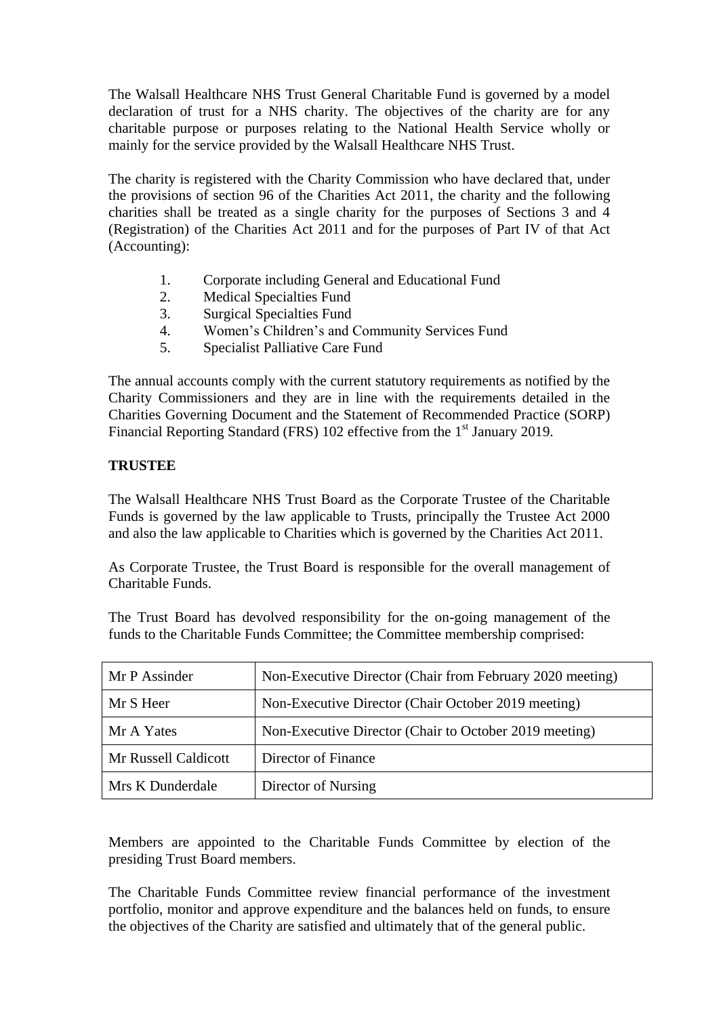The Walsall Healthcare NHS Trust General Charitable Fund is governed by a model declaration of trust for a NHS charity. The objectives of the charity are for any charitable purpose or purposes relating to the National Health Service wholly or mainly for the service provided by the Walsall Healthcare NHS Trust.

The charity is registered with the Charity Commission who have declared that, under the provisions of section 96 of the Charities Act 2011, the charity and the following charities shall be treated as a single charity for the purposes of Sections 3 and 4 (Registration) of the Charities Act 2011 and for the purposes of Part IV of that Act (Accounting):

- 1. Corporate including General and Educational Fund
- 2. Medical Specialties Fund
- 3. Surgical Specialties Fund
- 4. Women's Children's and Community Services Fund
- 5. Specialist Palliative Care Fund

The annual accounts comply with the current statutory requirements as notified by the Charity Commissioners and they are in line with the requirements detailed in the Charities Governing Document and the Statement of Recommended Practice (SORP) Financial Reporting Standard (FRS) 102 effective from the 1<sup>st</sup> January 2019.

# **TRUSTEE**

The Walsall Healthcare NHS Trust Board as the Corporate Trustee of the Charitable Funds is governed by the law applicable to Trusts, principally the Trustee Act 2000 and also the law applicable to Charities which is governed by the Charities Act 2011.

As Corporate Trustee, the Trust Board is responsible for the overall management of Charitable Funds.

The Trust Board has devolved responsibility for the on-going management of the funds to the Charitable Funds Committee; the Committee membership comprised:

| Mr P Assinder        | Non-Executive Director (Chair from February 2020 meeting) |
|----------------------|-----------------------------------------------------------|
| Mr S Heer            | Non-Executive Director (Chair October 2019 meeting)       |
| Mr A Yates           | Non-Executive Director (Chair to October 2019 meeting)    |
| Mr Russell Caldicott | Director of Finance                                       |
| Mrs K Dunderdale     | Director of Nursing                                       |

Members are appointed to the Charitable Funds Committee by election of the presiding Trust Board members.

The Charitable Funds Committee review financial performance of the investment portfolio, monitor and approve expenditure and the balances held on funds, to ensure the objectives of the Charity are satisfied and ultimately that of the general public.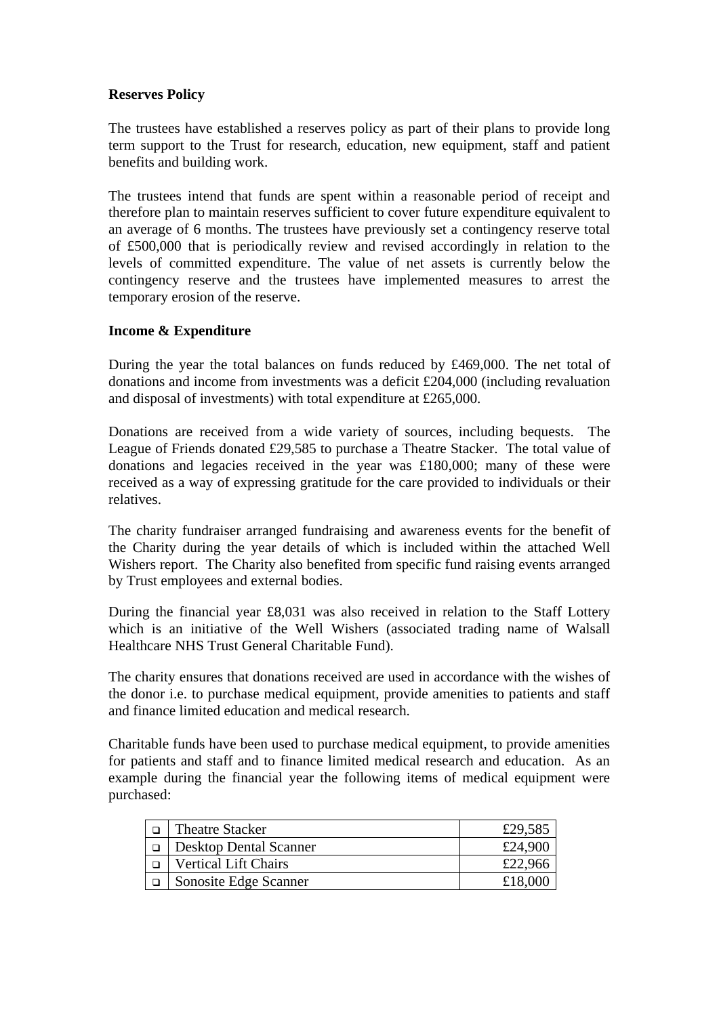# **Reserves Policy**

The trustees have established a reserves policy as part of their plans to provide long term support to the Trust for research, education, new equipment, staff and patient benefits and building work.

The trustees intend that funds are spent within a reasonable period of receipt and therefore plan to maintain reserves sufficient to cover future expenditure equivalent to an average of 6 months. The trustees have previously set a contingency reserve total of £500,000 that is periodically review and revised accordingly in relation to the levels of committed expenditure. The value of net assets is currently below the contingency reserve and the trustees have implemented measures to arrest the temporary erosion of the reserve.

# **Income & Expenditure**

During the year the total balances on funds reduced by £469,000. The net total of donations and income from investments was a deficit £204,000 (including revaluation and disposal of investments) with total expenditure at £265,000.

Donations are received from a wide variety of sources, including bequests. The League of Friends donated £29,585 to purchase a Theatre Stacker. The total value of donations and legacies received in the year was £180,000; many of these were received as a way of expressing gratitude for the care provided to individuals or their relatives.

The charity fundraiser arranged fundraising and awareness events for the benefit of the Charity during the year details of which is included within the attached Well Wishers report. The Charity also benefited from specific fund raising events arranged by Trust employees and external bodies.

During the financial year £8,031 was also received in relation to the Staff Lottery which is an initiative of the Well Wishers (associated trading name of Walsall Healthcare NHS Trust General Charitable Fund).

The charity ensures that donations received are used in accordance with the wishes of the donor i.e. to purchase medical equipment, provide amenities to patients and staff and finance limited education and medical research.

Charitable funds have been used to purchase medical equipment, to provide amenities for patients and staff and to finance limited medical research and education. As an example during the financial year the following items of medical equipment were purchased:

| <b>Theatre Stacker</b>        | £29,585 |
|-------------------------------|---------|
| <b>Desktop Dental Scanner</b> | £24,900 |
| <b>Vertical Lift Chairs</b>   | £22,966 |
| Sonosite Edge Scanner         | £18,000 |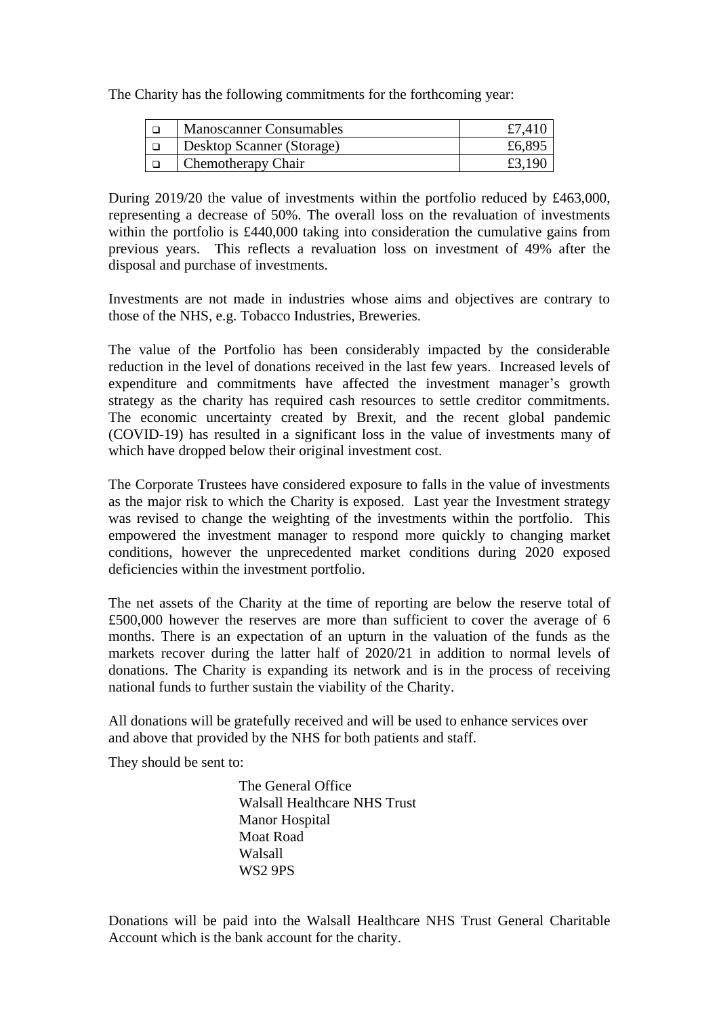The Charity has the following commitments for the forthcoming year:

| <b>Manoscanner Consumables</b> | £7,410 |
|--------------------------------|--------|
| Desktop Scanner (Storage)      | £6,895 |
| Chemotherapy Chair             |        |

During 2019/20 the value of investments within the portfolio reduced by £463,000, representing a decrease of 50%. The overall loss on the revaluation of investments within the portfolio is £440,000 taking into consideration the cumulative gains from previous years. This reflects a revaluation loss on investment of 49% after the disposal and purchase of investments.

Investments are not made in industries whose aims and objectives are contrary to those of the NHS, e.g. Tobacco Industries, Breweries.

The value of the Portfolio has been considerably impacted by the considerable reduction in the level of donations received in the last few years. Increased levels of expenditure and commitments have affected the investment manager's growth strategy as the charity has required cash resources to settle creditor commitments. The economic uncertainty created by Brexit, and the recent global pandemic (COVID-19) has resulted in a significant loss in the value of investments many of which have dropped below their original investment cost.

The Corporate Trustees have considered exposure to falls in the value of investments as the major risk to which the Charity is exposed. Last year the Investment strategy was revised to change the weighting of the investments within the portfolio. This empowered the investment manager to respond more quickly to changing market conditions, however the unprecedented market conditions during 2020 exposed deficiencies within the investment portfolio.

The net assets of the Charity at the time of reporting are below the reserve total of £500,000 however the reserves are more than sufficient to cover the average of 6 months. There is an expectation of an upturn in the valuation of the funds as the markets recover during the latter half of 2020/21 in addition to normal levels of donations. The Charity is expanding its network and is in the process of receiving national funds to further sustain the viability of the Charity.

All donations will be gratefully received and will be used to enhance services over and above that provided by the NHS for both patients and staff.

They should be sent to:

The General Office Walsall Healthcare NHS Trust Manor Hospital Moat Road Walsall WS2 9PS

Donations will be paid into the Walsall Healthcare NHS Trust General Charitable Account which is the bank account for the charity.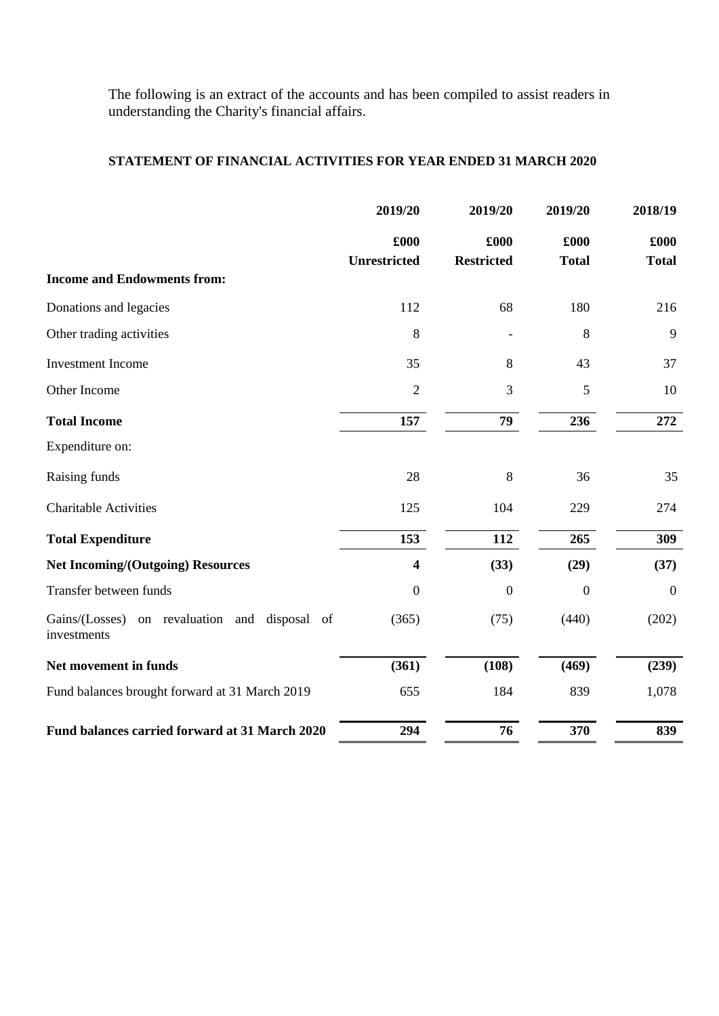The following is an extract of the accounts and has been compiled to assist readers in understanding the Charity's financial affairs.

# **STATEMENT OF FINANCIAL ACTIVITIES FOR YEAR ENDED 31 MARCH 2020**

|                                                                 | 2019/20                     | 2019/20                   | 2019/20              | 2018/19              |
|-----------------------------------------------------------------|-----------------------------|---------------------------|----------------------|----------------------|
|                                                                 | £000<br><b>Unrestricted</b> | £000<br><b>Restricted</b> | £000<br><b>Total</b> | £000<br><b>Total</b> |
| <b>Income and Endowments from:</b>                              |                             |                           |                      |                      |
| Donations and legacies                                          | 112                         | 68                        | 180                  | 216                  |
| Other trading activities                                        | 8                           |                           | 8                    | 9                    |
| <b>Investment Income</b>                                        | 35                          | 8                         | 43                   | 37                   |
| Other Income                                                    | $\mathfrak{2}$              | 3                         | 5                    | 10                   |
| <b>Total Income</b>                                             | 157                         | 79                        | 236                  | 272                  |
| Expenditure on:                                                 |                             |                           |                      |                      |
| Raising funds                                                   | 28                          | 8                         | 36                   | 35                   |
| <b>Charitable Activities</b>                                    | 125                         | 104                       | 229                  | 274                  |
| <b>Total Expenditure</b>                                        | 153                         | 112                       | 265                  | 309                  |
| <b>Net Incoming/(Outgoing) Resources</b>                        | 4                           | (33)                      | (29)                 | (37)                 |
| Transfer between funds                                          | $\boldsymbol{0}$            | $\boldsymbol{0}$          | $\boldsymbol{0}$     | $\boldsymbol{0}$     |
| Gains/(Losses)<br>on revaluation and disposal of<br>investments | (365)                       | (75)                      | (440)                | (202)                |
| Net movement in funds                                           | (361)                       | (108)                     | (469)                | (239)                |
| Fund balances brought forward at 31 March 2019                  | 655                         | 184                       | 839                  | 1,078                |
| Fund balances carried forward at 31 March 2020                  | 294                         | 76                        | 370                  | 839                  |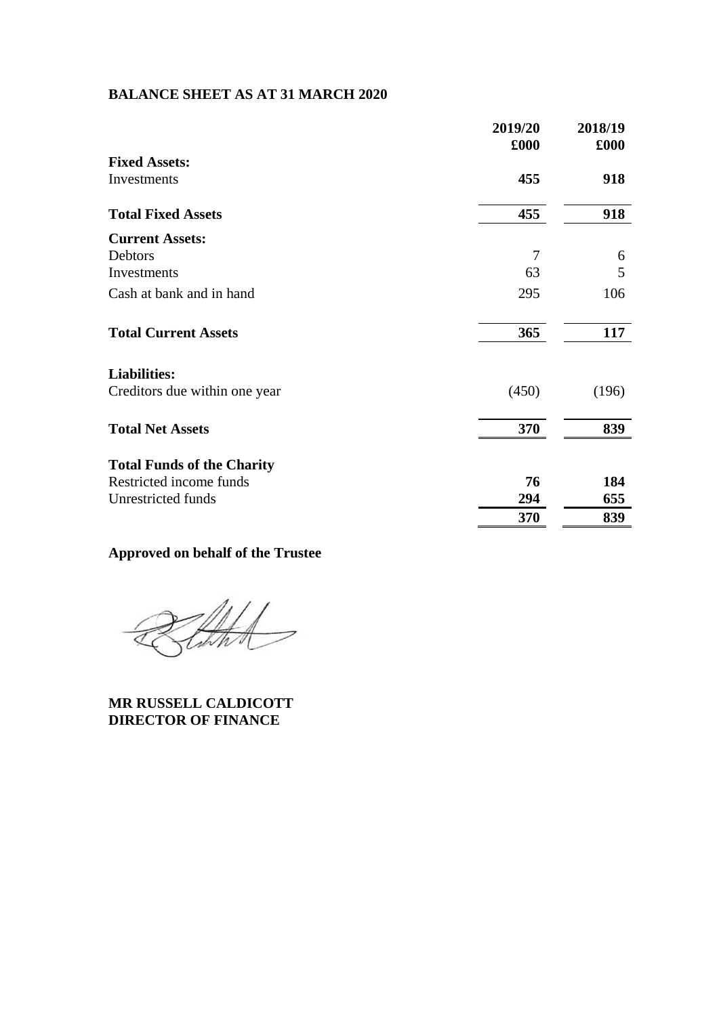# **BALANCE SHEET AS AT 31 MARCH 2020**

|                                   | 2019/20<br>£000 | 2018/19<br>£000 |
|-----------------------------------|-----------------|-----------------|
| <b>Fixed Assets:</b>              |                 |                 |
| Investments                       | 455             | 918             |
| <b>Total Fixed Assets</b>         | 455             | 918             |
| <b>Current Assets:</b>            |                 |                 |
| Debtors                           | $\overline{7}$  | 6               |
| Investments                       | 63              | 5               |
| Cash at bank and in hand          | 295             | 106             |
| <b>Total Current Assets</b>       | 365             | 117             |
| <b>Liabilities:</b>               |                 |                 |
| Creditors due within one year     | (450)           | (196)           |
| <b>Total Net Assets</b>           | 370             | 839             |
| <b>Total Funds of the Charity</b> |                 |                 |
| Restricted income funds           | 76              | 184             |
| Unrestricted funds                | 294             | 655             |
|                                   | 370             | 839             |

# **Approved on behalf of the Trustee**

that

**MR RUSSELL CALDICOTT DIRECTOR OF FINANCE**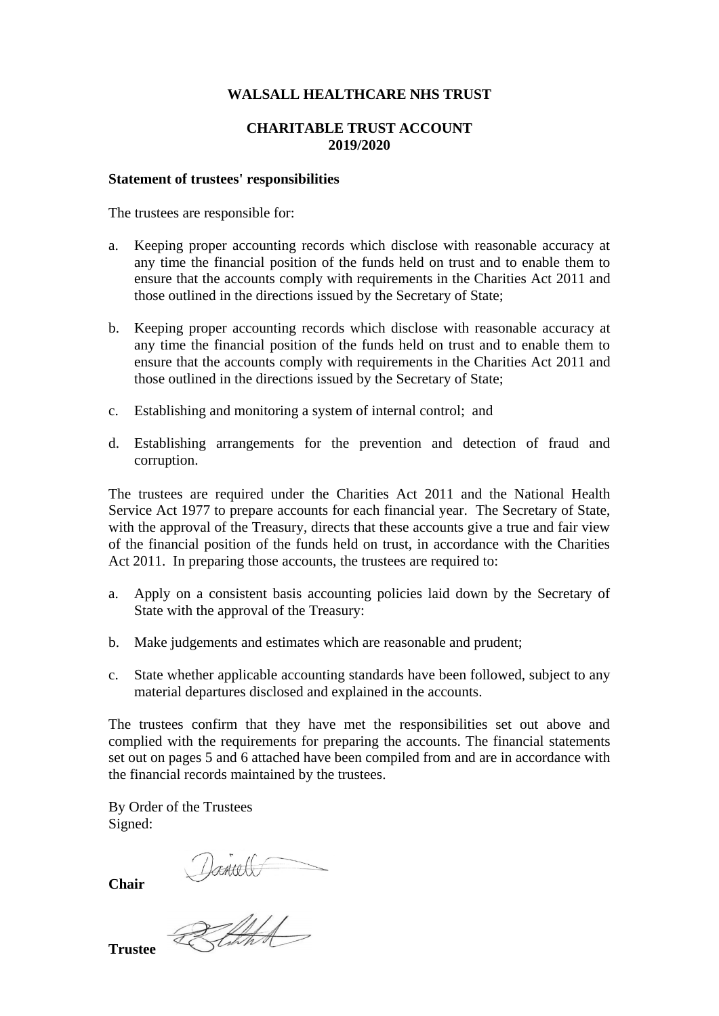## **WALSALL HEALTHCARE NHS TRUST**

# **CHARITABLE TRUST ACCOUNT 2019/2020**

#### **Statement of trustees' responsibilities**

The trustees are responsible for:

- a. Keeping proper accounting records which disclose with reasonable accuracy at any time the financial position of the funds held on trust and to enable them to ensure that the accounts comply with requirements in the Charities Act 2011 and those outlined in the directions issued by the Secretary of State;
- b. Keeping proper accounting records which disclose with reasonable accuracy at any time the financial position of the funds held on trust and to enable them to ensure that the accounts comply with requirements in the Charities Act 2011 and those outlined in the directions issued by the Secretary of State;
- c. Establishing and monitoring a system of internal control; and
- d. Establishing arrangements for the prevention and detection of fraud and corruption.

The trustees are required under the Charities Act 2011 and the National Health Service Act 1977 to prepare accounts for each financial year. The Secretary of State, with the approval of the Treasury, directs that these accounts give a true and fair view of the financial position of the funds held on trust, in accordance with the Charities Act 2011. In preparing those accounts, the trustees are required to:

- a. Apply on a consistent basis accounting policies laid down by the Secretary of State with the approval of the Treasury:
- b. Make judgements and estimates which are reasonable and prudent;
- c. State whether applicable accounting standards have been followed, subject to any material departures disclosed and explained in the accounts.

The trustees confirm that they have met the responsibilities set out above and complied with the requirements for preparing the accounts. The financial statements set out on pages 5 and 6 attached have been compiled from and are in accordance with the financial records maintained by the trustees.

By Order of the Trustees Signed:

**Chair** 

**Trustee**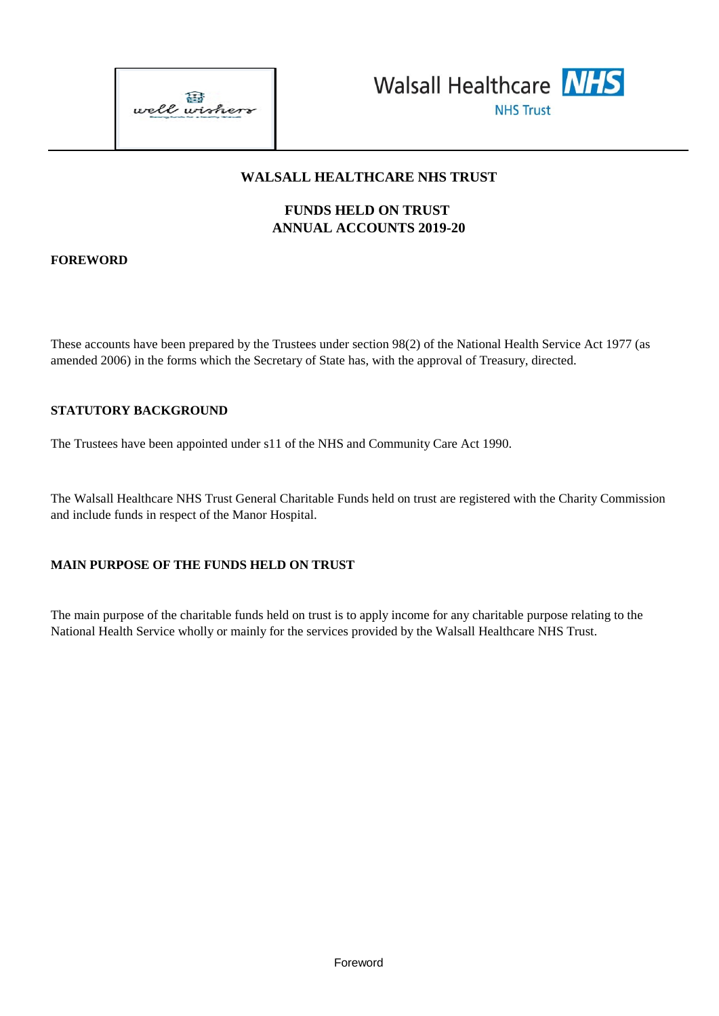



# **WALSALL HEALTHCARE NHS TRUST**

# **FUNDS HELD ON TRUST ANNUAL ACCOUNTS 2019-20**

# **FOREWORD**

These accounts have been prepared by the Trustees under section 98(2) of the National Health Service Act 1977 (as amended 2006) in the forms which the Secretary of State has, with the approval of Treasury, directed.

## **STATUTORY BACKGROUND**

The Trustees have been appointed under s11 of the NHS and Community Care Act 1990.

The Walsall Healthcare NHS Trust General Charitable Funds held on trust are registered with the Charity Commission and include funds in respect of the Manor Hospital.

## **MAIN PURPOSE OF THE FUNDS HELD ON TRUST**

The main purpose of the charitable funds held on trust is to apply income for any charitable purpose relating to the National Health Service wholly or mainly for the services provided by the Walsall Healthcare NHS Trust.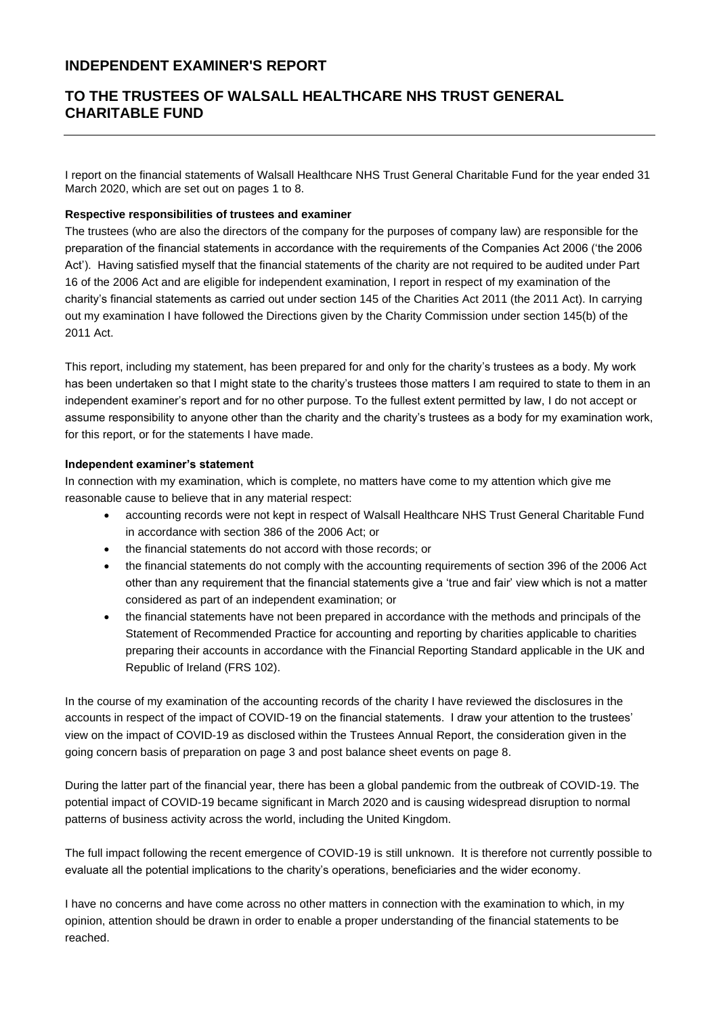# **INDEPENDENT EXAMINER'S REPORT**

# **TO THE TRUSTEES OF WALSALL HEALTHCARE NHS TRUST GENERAL CHARITABLE FUND**

I report on the financial statements of Walsall Healthcare NHS Trust General Charitable Fund for the year ended 31 March 2020, which are set out on pages 1 to 8.

## **Respective responsibilities of trustees and examiner**

The trustees (who are also the directors of the company for the purposes of company law) are responsible for the preparation of the financial statements in accordance with the requirements of the Companies Act 2006 ('the 2006 Act'). Having satisfied myself that the financial statements of the charity are not required to be audited under Part 16 of the 2006 Act and are eligible for independent examination, I report in respect of my examination of the charity's financial statements as carried out under section 145 of the Charities Act 2011 (the 2011 Act). In carrying out my examination I have followed the Directions given by the Charity Commission under section 145(b) of the 2011 Act.

This report, including my statement, has been prepared for and only for the charity's trustees as a body. My work has been undertaken so that I might state to the charity's trustees those matters I am required to state to them in an independent examiner's report and for no other purpose. To the fullest extent permitted by law, I do not accept or assume responsibility to anyone other than the charity and the charity's trustees as a body for my examination work, for this report, or for the statements I have made.

#### **Independent examiner's statement**

In connection with my examination, which is complete, no matters have come to my attention which give me reasonable cause to believe that in any material respect:

- accounting records were not kept in respect of Walsall Healthcare NHS Trust General Charitable Fund in accordance with section 386 of the 2006 Act; or
- the financial statements do not accord with those records; or
- the financial statements do not comply with the accounting requirements of section 396 of the 2006 Act other than any requirement that the financial statements give a 'true and fair' view which is not a matter considered as part of an independent examination; or
- the financial statements have not been prepared in accordance with the methods and principals of the Statement of Recommended Practice for accounting and reporting by charities applicable to charities preparing their accounts in accordance with the Financial Reporting Standard applicable in the UK and Republic of Ireland (FRS 102).

In the course of my examination of the accounting records of the charity I have reviewed the disclosures in the accounts in respect of the impact of COVID-19 on the financial statements. I draw your attention to the trustees' view on the impact of COVID-19 as disclosed within the Trustees Annual Report, the consideration given in the going concern basis of preparation on page 3 and post balance sheet events on page 8.

During the latter part of the financial year, there has been a global pandemic from the outbreak of COVID-19. The potential impact of COVID-19 became significant in March 2020 and is causing widespread disruption to normal patterns of business activity across the world, including the United Kingdom.

The full impact following the recent emergence of COVID-19 is still unknown. It is therefore not currently possible to evaluate all the potential implications to the charity's operations, beneficiaries and the wider economy.

I have no concerns and have come across no other matters in connection with the examination to which, in my opinion, attention should be drawn in order to enable a proper understanding of the financial statements to be reached.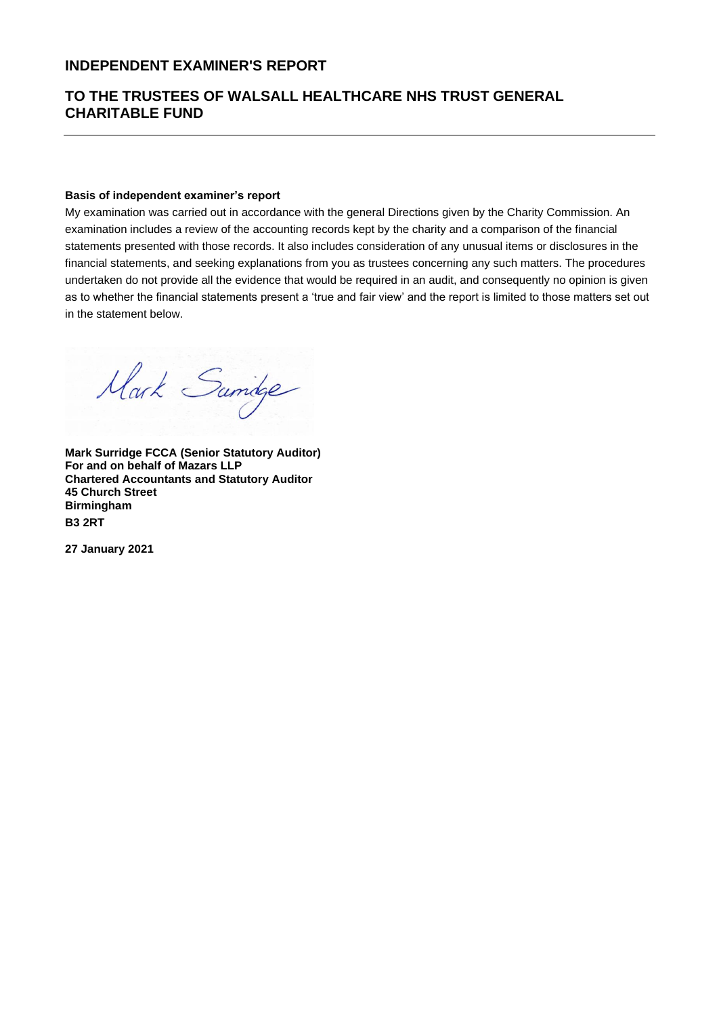# **INDEPENDENT EXAMINER'S REPORT**

# **TO THE TRUSTEES OF WALSALL HEALTHCARE NHS TRUST GENERAL CHARITABLE FUND**

#### **Basis of independent examiner's report**

My examination was carried out in accordance with the general Directions given by the Charity Commission. An examination includes a review of the accounting records kept by the charity and a comparison of the financial statements presented with those records. It also includes consideration of any unusual items or disclosures in the financial statements, and seeking explanations from you as trustees concerning any such matters. The procedures undertaken do not provide all the evidence that would be required in an audit, and consequently no opinion is given as to whether the financial statements present a 'true and fair view' and the report is limited to those matters set out in the statement below.

Mark Samige

**Mark Surridge FCCA (Senior Statutory Auditor) For and on behalf of Mazars LLP Chartered Accountants and Statutory Auditor 45 Church Street Birmingham B3 2RT**

**27 January 2021**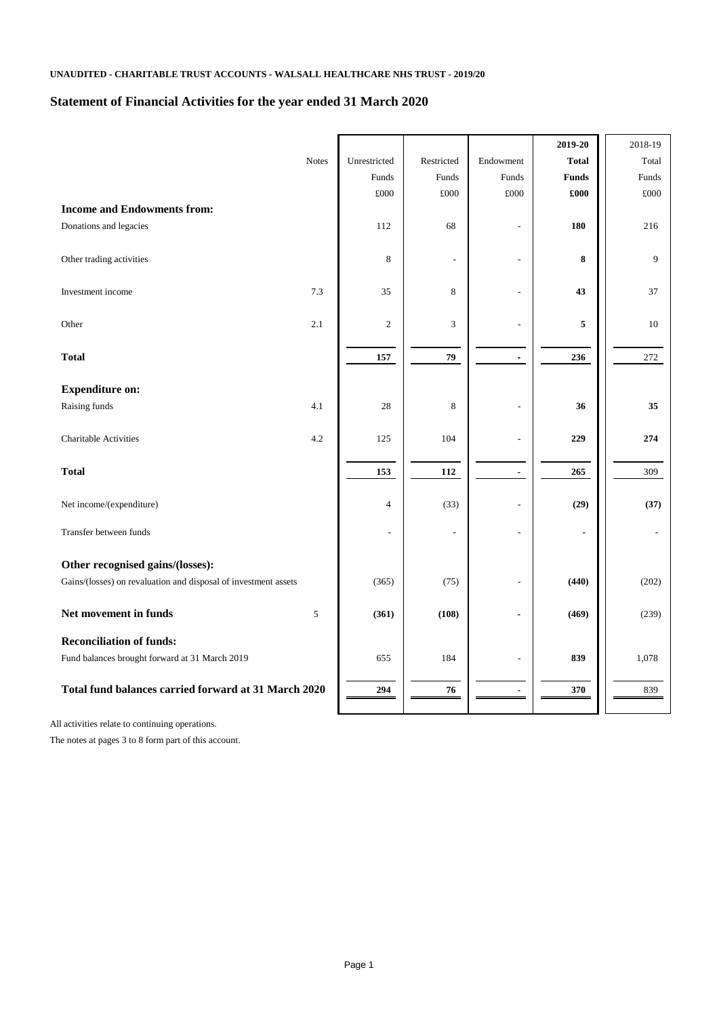# **Statement of Financial Activities for the year ended 31 March 2020**

|                                                                 |               |                |                             |                          | 2019-20        | 2018-19      |
|-----------------------------------------------------------------|---------------|----------------|-----------------------------|--------------------------|----------------|--------------|
|                                                                 | <b>Notes</b>  | Unrestricted   | Restricted                  | Endowment                | <b>Total</b>   | Total        |
|                                                                 |               | Funds          | Funds                       | Funds                    | <b>Funds</b>   | Funds        |
|                                                                 |               | $\pounds000$   | $\pounds000$                | $\pounds000$             | £000           | $\pounds000$ |
| <b>Income and Endowments from:</b>                              |               |                |                             |                          |                |              |
| Donations and legacies                                          |               | 112            | 68                          | $\overline{\phantom{a}}$ | <b>180</b>     | 216          |
| Other trading activities                                        |               | $\,8\,$        | $\overline{\phantom{a}}$    | $\overline{\phantom{a}}$ | ${\bf 8}$      | 9            |
|                                                                 |               |                |                             |                          |                |              |
| Investment income                                               | 7.3           | 35             | $\,8\,$                     | ٠                        | 43             | 37           |
| Other                                                           | 2.1           | $\sqrt{2}$     | $\ensuremath{\mathfrak{Z}}$ |                          | 5              | 10           |
| <b>Total</b>                                                    |               | 157            | ${\bf 79}$                  | $\blacksquare$           | 236            | 272          |
| <b>Expenditure on:</b>                                          |               |                |                             |                          |                |              |
| Raising funds                                                   | 4.1           | $28\,$         | $\,8\,$                     | $\overline{\phantom{a}}$ | 36             | 35           |
| <b>Charitable Activities</b>                                    | 4.2           | 125            | 104                         | $\blacksquare$           | 229            | 274          |
| <b>Total</b>                                                    |               | 153            | 112                         | $\blacksquare$           | 265            | 309          |
| Net income/(expenditure)                                        |               | $\overline{4}$ | (33)                        | $\blacksquare$           | (29)           | (37)         |
| Transfer between funds                                          |               | $\blacksquare$ | $\overline{\phantom{a}}$    | $\overline{\phantom{a}}$ | $\blacksquare$ |              |
| Other recognised gains/(losses):                                |               |                |                             |                          |                |              |
| Gains/(losses) on revaluation and disposal of investment assets |               | (365)          | (75)                        | $\overline{\phantom{a}}$ | (440)          | (202)        |
| Net movement in funds                                           | $\mathfrak s$ | (361)          | (108)                       | ۰                        | (469)          | (239)        |
| <b>Reconciliation of funds:</b>                                 |               |                |                             |                          |                |              |
| Fund balances brought forward at 31 March 2019                  |               | 655            | 184                         | $\overline{\phantom{a}}$ | 839            | 1,078        |
| Total fund balances carried forward at 31 March 2020            |               | 294            | 76                          | ۰                        | 370            | 839          |

All activities relate to continuing operations.

The notes at pages 3 to 8 form part of this account.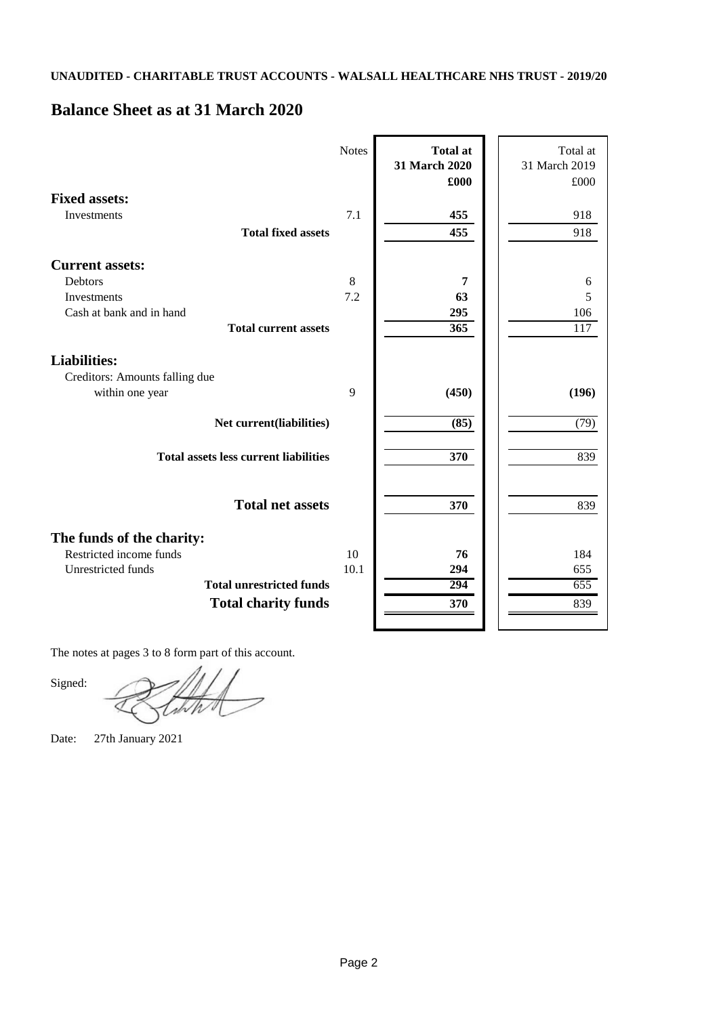# **Balance Sheet as at 31 March 2020**

|                                                                                                                                                    | <b>Notes</b> | <b>Total at</b><br>31 March 2020<br>£000 | Total at<br>31 March 2019<br>£000 |
|----------------------------------------------------------------------------------------------------------------------------------------------------|--------------|------------------------------------------|-----------------------------------|
| <b>Fixed assets:</b><br>Investments<br><b>Total fixed assets</b>                                                                                   | 7.1          | 455<br>455                               | 918<br>918                        |
| <b>Current assets:</b><br><b>Debtors</b><br><b>Investments</b><br>Cash at bank and in hand<br><b>Total current assets</b>                          | 8<br>7.2     | 7<br>63<br>295<br>$\overline{365}$       | 6<br>5<br>106<br>$\overline{117}$ |
| <b>Liabilities:</b><br>Creditors: Amounts falling due<br>within one year                                                                           | 9            | (450)                                    | (196)                             |
| Net current(liabilities)<br><b>Total assets less current liabilities</b>                                                                           |              | (85)<br>$\overline{370}$                 | (79)<br>839                       |
| <b>Total net assets</b>                                                                                                                            |              | 370                                      | 839                               |
| The funds of the charity:<br>Restricted income funds<br><b>Unrestricted funds</b><br><b>Total unrestricted funds</b><br><b>Total charity funds</b> | 10<br>10.1   | 76<br>294<br>294<br>370                  | 184<br>655<br>655<br>839          |

The notes at pages 3 to 8 form part of this account.

Signed:

Date: 27th January 2021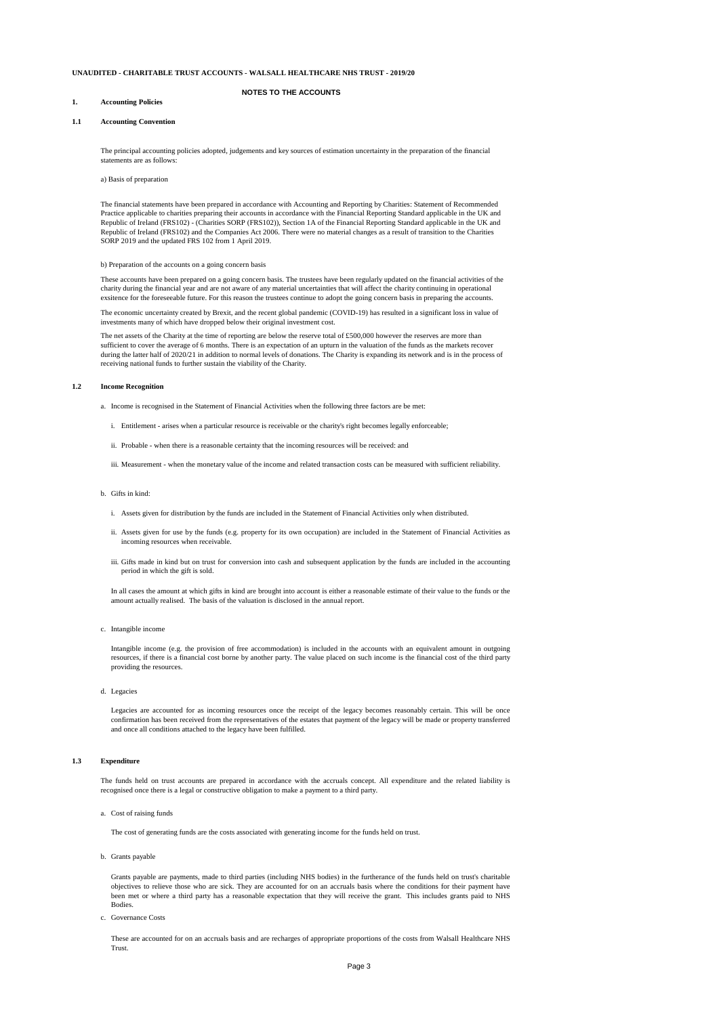#### **NOTES TO THE ACCOUNTS**

## **1. Accounting Policies**

#### **1.1 Accounting Convention**

#### **1.2 Income Recognition**

- a. Income is recognised in the Statement of Financial Activities when the following three factors are be met:
	- i. Entitlement arises when a particular resource is receivable or the charity's right becomes legally enforceable;
	- ii. Probable when there is a reasonable certainty that the incoming resources will be received: and
	- iii. Measurement when the monetary value of the income and related transaction costs can be measured with sufficient reliability.

#### b. Gifts in kind:

- i. Assets given for distribution by the funds are included in the Statement of Financial Activities only when distributed.
- ii. Assets given for use by the funds (e.g. property for its own occupation) are included in the Statement of Financial Activities as incoming resources when receivable.
- iii. Gifts made in kind but on trust for conversion into cash and subsequent application by the funds are included in the accounting period in which the gift is sold.

#### c. Intangible income

d. Legacies

#### **1.3 Expenditure**

#### a. Cost of raising funds

#### b. Grants payable

c. Governance Costs

These accounts have been prepared on a going concern basis. The trustees have been regularly updated on the financial activities of the charity during the financial year and are not aware of any material uncertainties that will affect the charity continuing in operational exsitence for the foreseeable future. For this reason the trustees continue to adopt the going concern basis in preparing the accounts.

The net assets of the Charity at the time of reporting are below the reserve total of £500,000 however the reserves are more than sufficient to cover the average of 6 months. There is an expectation of an upturn in the valuation of the funds as the markets recover during the latter half of 2020/21 in addition to normal levels of donations. The Charity is expanding its network and is in the process of receiving national funds to further sustain the viability of the Charity.

The principal accounting policies adopted, judgements and key sources of estimation uncertainty in the preparation of the financial statements are as follows:

#### a) Basis of preparation

The financial statements have been prepared in accordance with Accounting and Reporting by Charities: Statement of Recommended Practice applicable to charities preparing their accounts in accordance with the Financial Reporting Standard applicable in the UK and Republic of Ireland (FRS102) - (Charities SORP (FRS102)), Section 1A of the Financial Reporting Standard applicable in the UK and Republic of Ireland (FRS102) and the Companies Act 2006. There were no material changes as a result of transition to the Charities SORP 2019 and the updated FRS 102 from 1 April 2019.

#### b) Preparation of the accounts on a going concern basis

The economic uncertainty created by Brexit, and the recent global pandemic (COVID-19) has resulted in a significant loss in value of investments many of which have dropped below their original investment cost.

Grants payable are payments, made to third parties (including NHS bodies) in the furtherance of the funds held on trust's charitable objectives to relieve those who are sick. They are accounted for on an accruals basis where the conditions for their payment have been met or where a third party has a reasonable expectation that they will receive the grant. This includes grants paid to NHS Bodies.

These are accounted for on an accruals basis and are recharges of appropriate proportions of the costs from Walsall Healthcare NHS Trust.

The cost of generating funds are the costs associated with generating income for the funds held on trust.

The funds held on trust accounts are prepared in accordance with the accruals concept. All expenditure and the related liability is recognised once there is a legal or constructive obligation to make a payment to a third party.

In all cases the amount at which gifts in kind are brought into account is either a reasonable estimate of their value to the funds or the amount actually realised. The basis of the valuation is disclosed in the annual report.

Intangible income (e.g. the provision of free accommodation) is included in the accounts with an equivalent amount in outgoing resources, if there is a financial cost borne by another party. The value placed on such income is the financial cost of the third party

providing the resources.

Legacies are accounted for as incoming resources once the receipt of the legacy becomes reasonably certain. This will be once confirmation has been received from the representatives of the estates that payment of the legacy will be made or property transferred and once all conditions attached to the legacy have been fulfilled.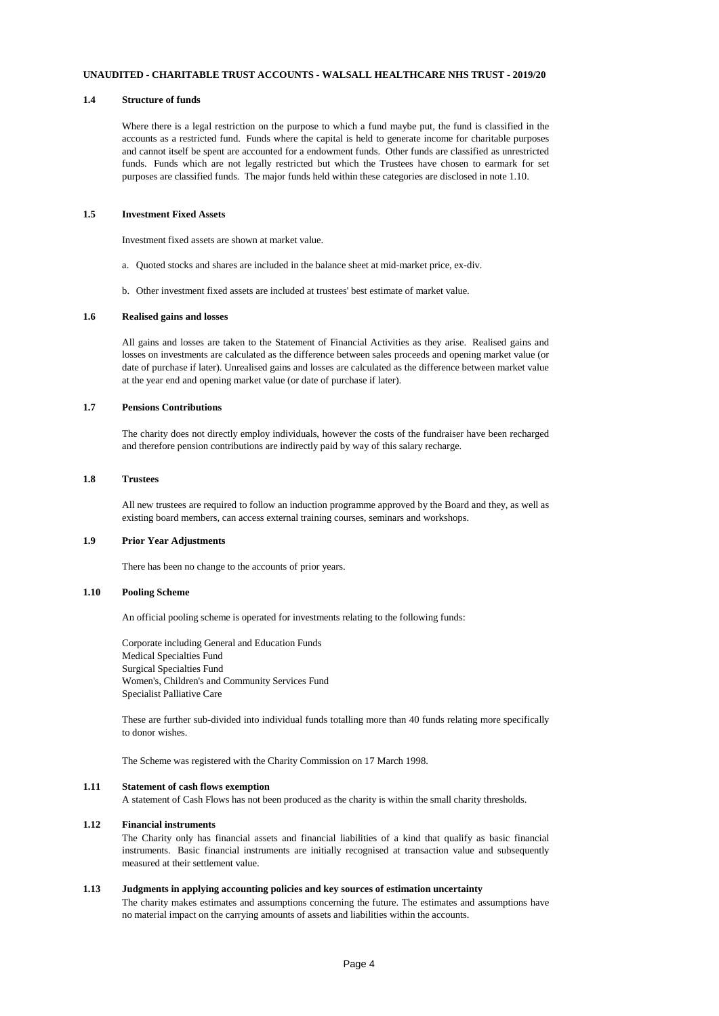#### **1.4 Structure of funds**

Where there is a legal restriction on the purpose to which a fund maybe put, the fund is classified in the accounts as a restricted fund. Funds where the capital is held to generate income for charitable purposes and cannot itself be spent are accounted for a endowment funds. Other funds are classified as unrestricted funds. Funds which are not legally restricted but which the Trustees have chosen to earmark for set purposes are classified funds. The major funds held within these categories are disclosed in note 1.10.

## **1.5 Investment Fixed Assets**

Investment fixed assets are shown at market value.

- a. Quoted stocks and shares are included in the balance sheet at mid-market price, ex-div.
- b. Other investment fixed assets are included at trustees' best estimate of market value.

## **1.6 Realised gains and losses**

All gains and losses are taken to the Statement of Financial Activities as they arise. Realised gains and losses on investments are calculated as the difference between sales proceeds and opening market value (or date of purchase if later). Unrealised gains and losses are calculated as the difference between market value at the year end and opening market value (or date of purchase if later).

## **1.7 Pensions Contributions**

The charity does not directly employ individuals, however the costs of the fundraiser have been recharged and therefore pension contributions are indirectly paid by way of this salary recharge.

# **1.8 Trustees**

All new trustees are required to follow an induction programme approved by the Board and they, as well as existing board members, can access external training courses, seminars and workshops.

#### **1.9 Prior Year Adjustments**

There has been no change to the accounts of prior years.

#### **1.10 Pooling Scheme**

An official pooling scheme is operated for investments relating to the following funds:

Corporate including General and Education Funds Medical Specialties Fund Surgical Specialties Fund Women's, Children's and Community Services Fund Specialist Palliative Care

These are further sub-divided into individual funds totalling more than 40 funds relating more specifically to donor wishes.

The Scheme was registered with the Charity Commission on 17 March 1998.

## **1.11 Statement of cash flows exemption**

A statement of Cash Flows has not been produced as the charity is within the small charity thresholds.

## **1.12 Financial instruments**

The Charity only has financial assets and financial liabilities of a kind that qualify as basic financial instruments. Basic financial instruments are initially recognised at transaction value and subsequently measured at their settlement value.

#### **1.13 Judgments in applying accounting policies and key sources of estimation uncertainty**

The charity makes estimates and assumptions concerning the future. The estimates and assumptions have no material impact on the carrying amounts of assets and liabilities within the accounts.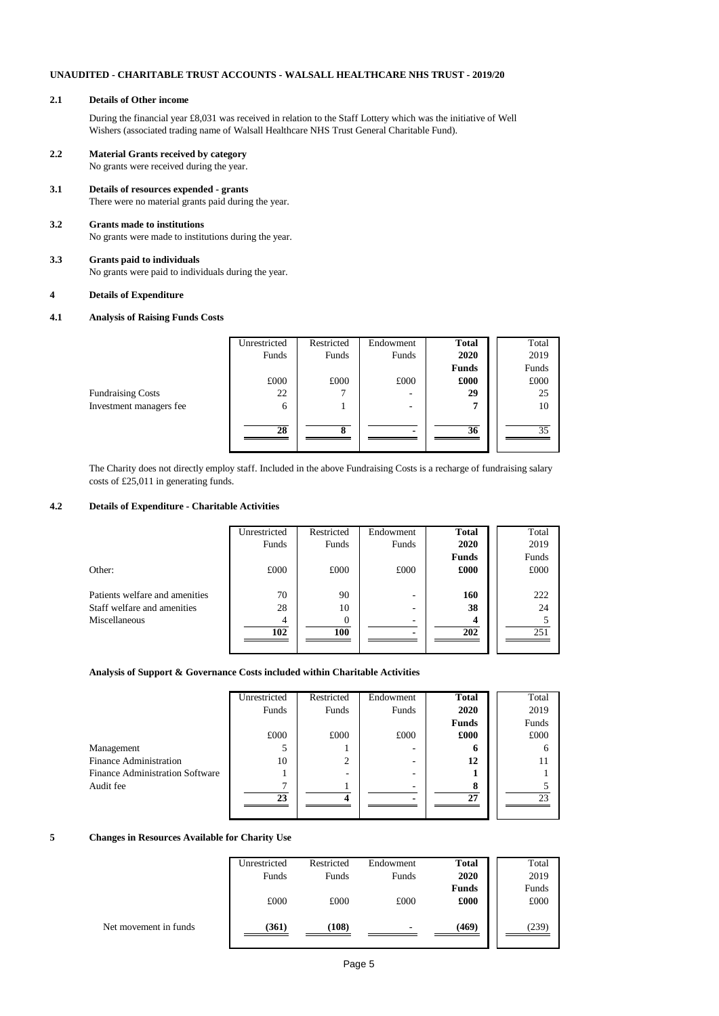## **2.1 Details of Other income**

During the financial year £8,031 was received in relation to the Staff Lottery which was the initiative of Well Wishers (associated trading name of Walsall Healthcare NHS Trust General Charitable Fund).

# **2.2 Material Grants received by category**

No grants were received during the year.

**3.1 Details of resources expended - grants** There were no material grants paid during the year.

## **3.2 Grants made to institutions** No grants were made to institutions during the year.

## **3.3 Grants paid to individuals** No grants were paid to individuals during the year.

## **4 Details of Expenditure**

## **4.1 Analysis of Raising Funds Costs**

|                          | Unrestricted | Restricted | Endowment | <b>Total</b> | Total |
|--------------------------|--------------|------------|-----------|--------------|-------|
|                          | Funds        | Funds      | Funds     | 2020         | 2019  |
|                          |              |            |           | <b>Funds</b> | Funds |
|                          | £000         | £000       | £000      | £000         | £000  |
| <b>Fundraising Costs</b> | 22           |            | -         | 29           | 25    |
| Investment managers fee  | 6            |            | ۰         | 7            | 10    |
|                          |              |            |           |              |       |
|                          | 28           | 8          |           | 36           | 35    |
|                          |              |            |           |              |       |

The Charity does not directly employ staff. Included in the above Fundraising Costs is a recharge of fundraising salary costs of £25,011 in generating funds.

# **4.2 Details of Expenditure - Charitable Activities**

|                                | Unrestricted | Restricted | Endowment | <b>Total</b> | Total |
|--------------------------------|--------------|------------|-----------|--------------|-------|
|                                | Funds        | Funds      | Funds     | 2020         | 2019  |
|                                |              |            |           | <b>Funds</b> | Funds |
| Other:                         | £000         | £000       | £000      | £000         | £000  |
|                                |              |            |           |              |       |
| Patients welfare and amenities | 70           | 90         | -         | 160          | 222   |
| Staff welfare and amenities    | 28           | 10         | -         | 38           | 24    |
| Miscellaneous                  | 4            |            |           | Δ            |       |
|                                | 102          | 100        |           | 202          | 251   |
|                                |              |            |           |              |       |
|                                |              |            |           |              |       |

## **Analysis of Support & Governance Costs included within Charitable Activities**

|                                        | Unrestricted | Restricted | Endowment | <b>Total</b> | Total |
|----------------------------------------|--------------|------------|-----------|--------------|-------|
|                                        | Funds        | Funds      | Funds     | 2020         | 2019  |
|                                        |              |            |           | <b>Funds</b> | Funds |
|                                        | £000         | £000       | £000      | £000         | £000  |
| Management                             | 5            |            | ۰         | n            | o     |
| <b>Finance Administration</b>          | 10           | 2          | ۰         | 12           |       |
| <b>Finance Administration Software</b> |              |            | ۰         |              |       |
| Audit fee                              | ⇁            |            |           | 8            |       |
|                                        | 23           | 4          |           | 27           | 23    |
|                                        |              |            |           |              |       |

## **5 Changes in Resources Available for Charity Use**

|                       | Unrestricted | Restricted | Endowment | <b>Total</b> | Total |
|-----------------------|--------------|------------|-----------|--------------|-------|
|                       | Funds        | Funds      | Funds     | 2020         | 2019  |
|                       |              |            |           | <b>Funds</b> | Funds |
|                       | £000         | £000       | £000      | £000         | £000  |
|                       |              |            |           |              |       |
| Net movement in funds | (361)        | (108)      | -         | (469)        | (239) |
|                       |              |            |           |              |       |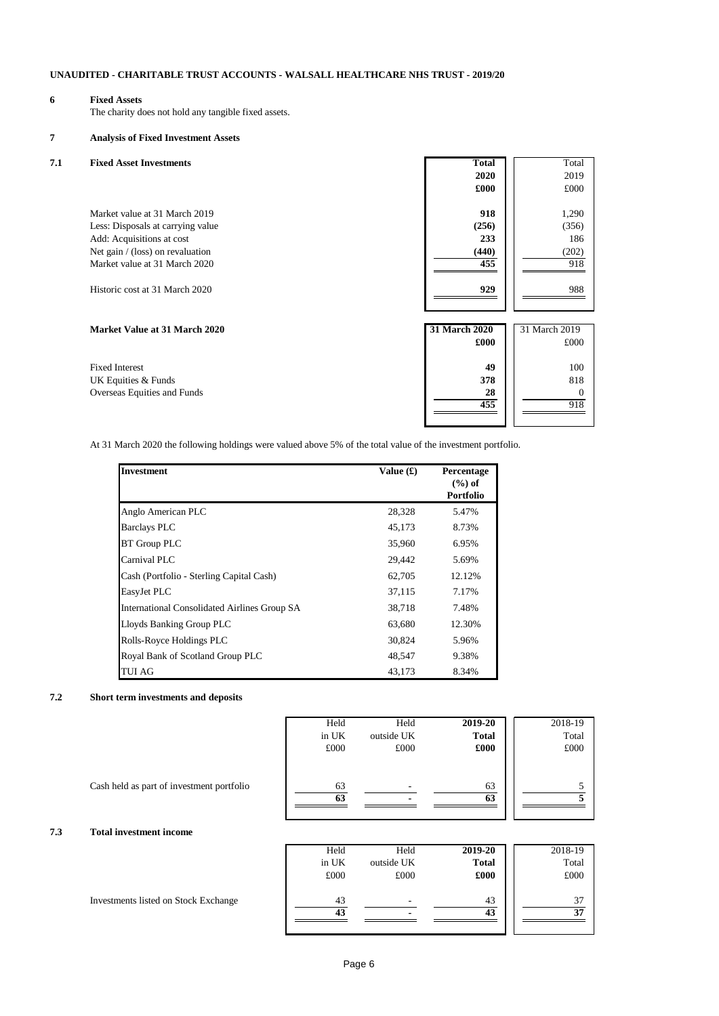# **6 Fixed Assets**

The charity does not hold any tangible fixed assets.

# **7 Analysis of Fixed Investment Assets**

| 7.1 | <b>Fixed Asset Investments</b>       | <b>Total</b>  | Total         |
|-----|--------------------------------------|---------------|---------------|
|     |                                      | 2020          | 2019          |
|     |                                      | £000          | £000          |
|     |                                      |               |               |
|     | Market value at 31 March 2019        | 918           | 1,290         |
|     | Less: Disposals at carrying value    | (256)         | (356)         |
|     | Add: Acquisitions at cost            | 233           | 186           |
|     | Net gain / (loss) on revaluation     | (440)         | (202)         |
|     | Market value at 31 March 2020        | 455           | 918           |
|     |                                      |               |               |
|     | Historic cost at 31 March 2020       | 929           | 988           |
|     |                                      |               |               |
|     | <b>Market Value at 31 March 2020</b> | 31 March 2020 | 31 March 2019 |
|     |                                      | £000          | £000          |
|     |                                      |               |               |
|     | <b>Fixed Interest</b>                | 49            | 100           |
|     | UK Equities & Funds                  | 378           | 818           |
|     | Overseas Equities and Funds          | 28            | 0             |
|     |                                      | 455           | 918           |
|     |                                      |               |               |

At 31 March 2020 the following holdings were valued above 5% of the total value of the investment portfolio.

| <b>Investment</b>                                   | Value $(f)$ | Percentage       |
|-----------------------------------------------------|-------------|------------------|
|                                                     |             | $(\%)$ of        |
|                                                     |             | <b>Portfolio</b> |
| Anglo American PLC                                  | 28,328      | 5.47%            |
| <b>Barclays PLC</b>                                 | 45,173      | 8.73%            |
| <b>BT</b> Group PLC                                 | 35,960      | 6.95%            |
| Carnival PLC                                        | 29,442      | 5.69%            |
| Cash (Portfolio - Sterling Capital Cash)            | 62,705      | 12.12%           |
| EasyJet PLC                                         | 37,115      | 7.17%            |
| <b>International Consolidated Airlines Group SA</b> | 38,718      | 7.48%            |
| Lloyds Banking Group PLC                            | 63,680      | 12.30%           |
| Rolls-Royce Holdings PLC                            | 30,824      | 5.96%            |
| Royal Bank of Scotland Group PLC                    | 48,547      | 9.38%            |
| <b>TUI AG</b>                                       | 43,173      | 8.34%            |

## **7.2 Short term investments and deposits**

|                                           | Held     | Held                     | 2019-20      | 2018-19 |
|-------------------------------------------|----------|--------------------------|--------------|---------|
|                                           | in UK    | outside UK               | <b>Total</b> | Total   |
|                                           | £000     | £000                     | £000         | £000    |
| Cash held as part of investment portfolio | 63<br>63 | $\overline{\phantom{0}}$ | 63<br>63     |         |

# **7.3 Total investment income**

|                                      | Held     | Held       | 2019-20      | 2018-19  |
|--------------------------------------|----------|------------|--------------|----------|
|                                      | in UK    | outside UK | <b>Total</b> | Total    |
|                                      | £000     | £000       | £000         | £000     |
| Investments listed on Stock Exchange | 43<br>43 |            | 43<br>43     | 37<br>37 |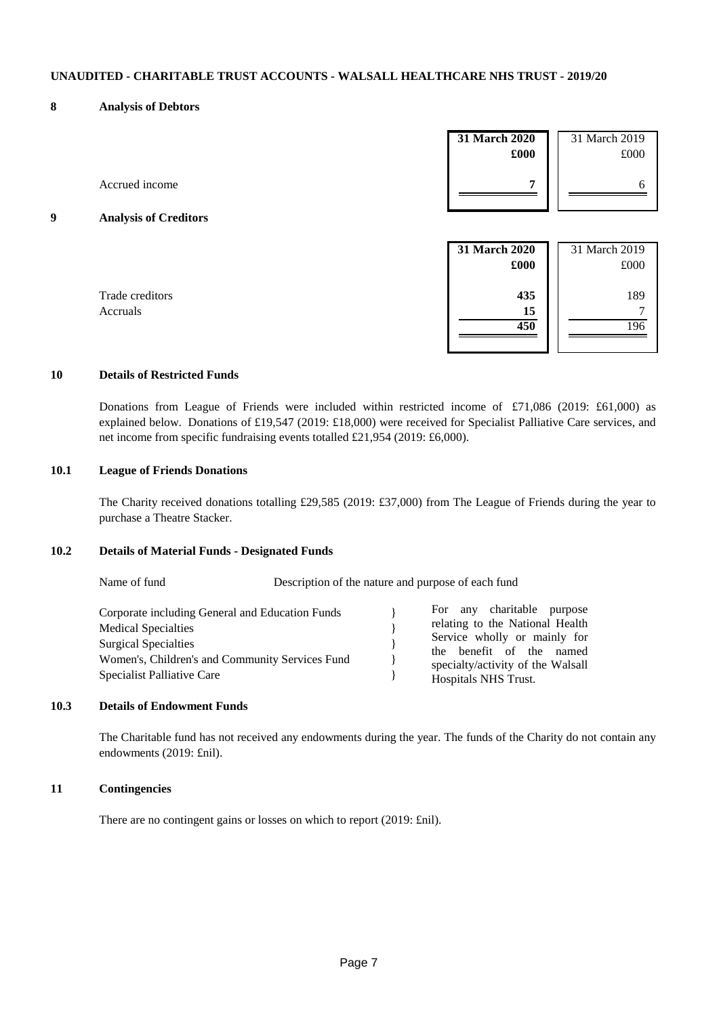#### **8 Analysis of Debtors**

|   |                              | 31 March 2020<br>£000 | 31 March 2019<br>£000 |
|---|------------------------------|-----------------------|-----------------------|
|   | Accrued income               | 7                     | 6                     |
| 9 | <b>Analysis of Creditors</b> |                       |                       |
|   |                              |                       |                       |
|   |                              | 31 March 2020<br>£000 | 31 March 2019<br>£000 |

## **10 Details of Restricted Funds**

Donations from League of Friends were included within restricted income of £71,086 (2019: £61,000) as explained below. Donations of £19,547 (2019: £18,000) were received for Specialist Palliative Care services, and net income from specific fundraising events totalled £21,954 (2019: £6,000).

## **10.1 League of Friends Donations**

The Charity received donations totalling £29,585 (2019: £37,000) from The League of Friends during the year to purchase a Theatre Stacker.

#### **10.2 Details of Material Funds - Designated Funds**

| Name of fund                                                                                                                                                                                  | Description of the nature and purpose of each fund |                                                                                                                                                                                        |  |
|-----------------------------------------------------------------------------------------------------------------------------------------------------------------------------------------------|----------------------------------------------------|----------------------------------------------------------------------------------------------------------------------------------------------------------------------------------------|--|
| Corporate including General and Education Funds<br><b>Medical Specialties</b><br><b>Surgical Specialties</b><br>Women's, Children's and Community Services Fund<br>Specialist Palliative Care |                                                    | For any charitable purpose<br>relating to the National Health<br>Service wholly or mainly for<br>the benefit of the named<br>specialty/activity of the Walsall<br>Hospitals NHS Trust. |  |

## **10.3 Details of Endowment Funds**

The Charitable fund has not received any endowments during the year. The funds of the Charity do not contain any endowments (2019: £nil).

#### **11 Contingencies**

There are no contingent gains or losses on which to report (2019: £nil).